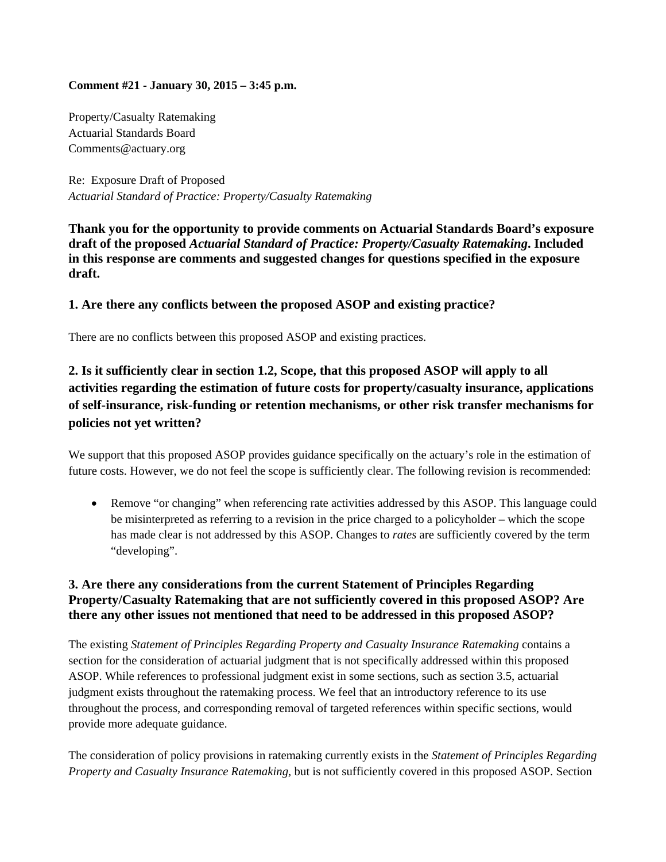#### **Comment #21 - January 30, 2015 – 3:45 p.m.**

Property/Casualty Ratemaking Actuarial Standards Board Comments@actuary.org

Re: Exposure Draft of Proposed *Actuarial Standard of Practice: Property/Casualty Ratemaking* 

**Thank you for the opportunity to provide comments on Actuarial Standards Board's exposure draft of the proposed** *Actuarial Standard of Practice: Property/Casualty Ratemaking***. Included in this response are comments and suggested changes for questions specified in the exposure draft.**

### **1. Are there any conflicts between the proposed ASOP and existing practice?**

There are no conflicts between this proposed ASOP and existing practices.

# **2. Is it sufficiently clear in section 1.2, Scope, that this proposed ASOP will apply to all activities regarding the estimation of future costs for property/casualty insurance, applications of self-insurance, risk-funding or retention mechanisms, or other risk transfer mechanisms for policies not yet written?**

We support that this proposed ASOP provides guidance specifically on the actuary's role in the estimation of future costs. However, we do not feel the scope is sufficiently clear. The following revision is recommended:

• Remove "or changing" when referencing rate activities addressed by this ASOP. This language could be misinterpreted as referring to a revision in the price charged to a policyholder – which the scope has made clear is not addressed by this ASOP. Changes to *rates* are sufficiently covered by the term "developing".

### **3. Are there any considerations from the current Statement of Principles Regarding Property/Casualty Ratemaking that are not sufficiently covered in this proposed ASOP? Are there any other issues not mentioned that need to be addressed in this proposed ASOP?**

The existing *Statement of Principles Regarding Property and Casualty Insurance Ratemaking* contains a section for the consideration of actuarial judgment that is not specifically addressed within this proposed ASOP. While references to professional judgment exist in some sections, such as section 3.5, actuarial judgment exists throughout the ratemaking process. We feel that an introductory reference to its use throughout the process, and corresponding removal of targeted references within specific sections, would provide more adequate guidance.

The consideration of policy provisions in ratemaking currently exists in the *Statement of Principles Regarding Property and Casualty Insurance Ratemaking,* but is not sufficiently covered in this proposed ASOP. Section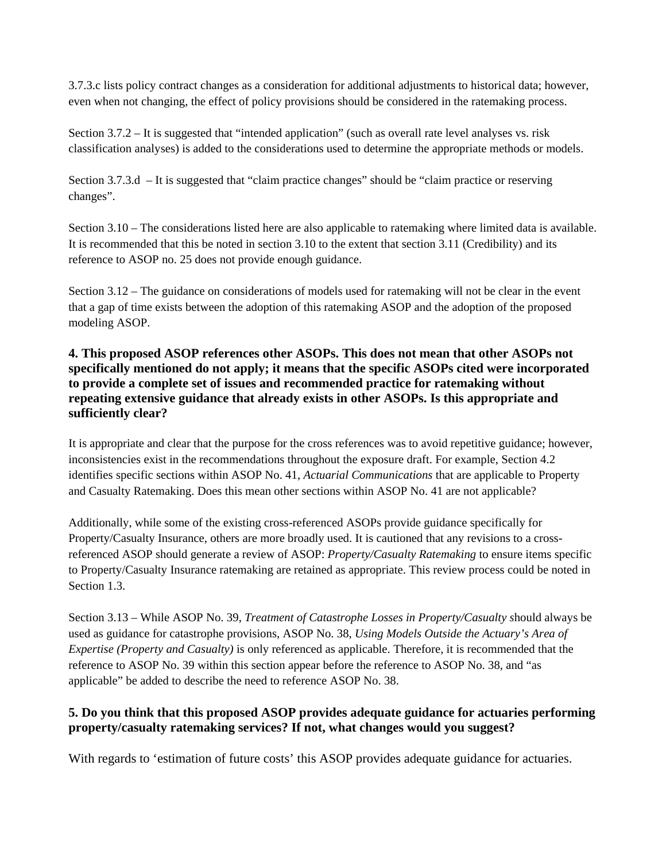3.7.3.c lists policy contract changes as a consideration for additional adjustments to historical data; however, even when not changing, the effect of policy provisions should be considered in the ratemaking process.

Section 3.7.2 – It is suggested that "intended application" (such as overall rate level analyses vs. risk classification analyses) is added to the considerations used to determine the appropriate methods or models.

Section 3.7.3.d – It is suggested that "claim practice changes" should be "claim practice or reserving changes".

Section 3.10 – The considerations listed here are also applicable to ratemaking where limited data is available. It is recommended that this be noted in section 3.10 to the extent that section 3.11 (Credibility) and its reference to ASOP no. 25 does not provide enough guidance.

Section 3.12 – The guidance on considerations of models used for ratemaking will not be clear in the event that a gap of time exists between the adoption of this ratemaking ASOP and the adoption of the proposed modeling ASOP.

# **4. This proposed ASOP references other ASOPs. This does not mean that other ASOPs not specifically mentioned do not apply; it means that the specific ASOPs cited were incorporated to provide a complete set of issues and recommended practice for ratemaking without repeating extensive guidance that already exists in other ASOPs. Is this appropriate and sufficiently clear?**

It is appropriate and clear that the purpose for the cross references was to avoid repetitive guidance; however, inconsistencies exist in the recommendations throughout the exposure draft. For example, Section 4.2 identifies specific sections within ASOP No. 41, *Actuarial Communications* that are applicable to Property and Casualty Ratemaking. Does this mean other sections within ASOP No. 41 are not applicable?

Additionally, while some of the existing cross-referenced ASOPs provide guidance specifically for Property/Casualty Insurance, others are more broadly used. It is cautioned that any revisions to a crossreferenced ASOP should generate a review of ASOP: *Property/Casualty Ratemaking* to ensure items specific to Property/Casualty Insurance ratemaking are retained as appropriate. This review process could be noted in Section 1.3.

Section 3.13 – While ASOP No. 39, *Treatment of Catastrophe Losses in Property/Casualty s*hould always be used as guidance for catastrophe provisions, ASOP No. 38, *Using Models Outside the Actuary's Area of Expertise (Property and Casualty)* is only referenced as applicable. Therefore, it is recommended that the reference to ASOP No. 39 within this section appear before the reference to ASOP No. 38, and "as applicable" be added to describe the need to reference ASOP No. 38.

# **5. Do you think that this proposed ASOP provides adequate guidance for actuaries performing property/casualty ratemaking services? If not, what changes would you suggest?**

With regards to 'estimation of future costs' this ASOP provides adequate guidance for actuaries.